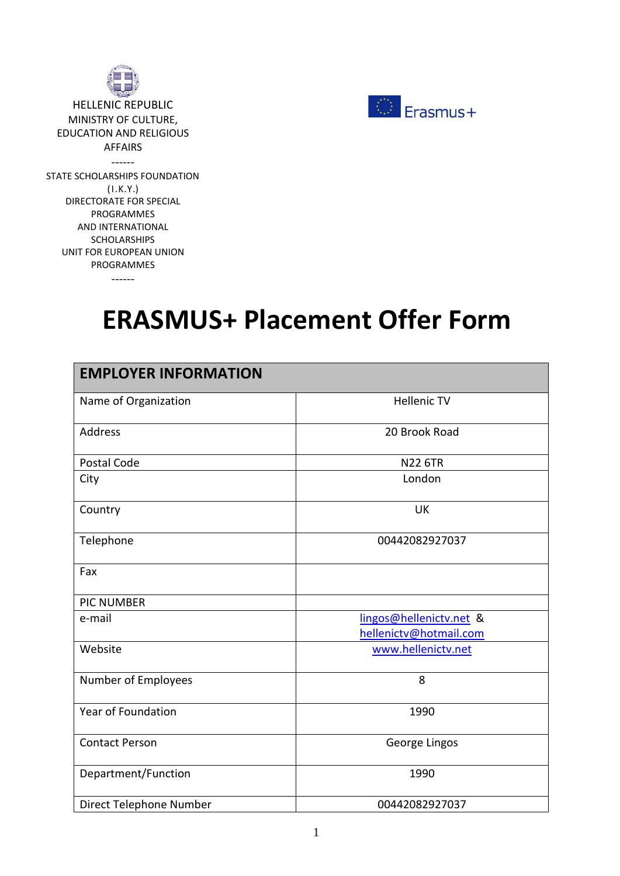

ΗELLENIC REPUBLIC MINISTRY OF CULTURE, EDUCATION AND RELIGIOUS AFFAIRS ------ STATE SCHOLARSHIPS FOUNDATION (Ι.Κ.Υ.) DIRECTORATE FOR SPECIAL PROGRAMMES AND INTERNATIONAL SCHOLARSHIPS UNIT FOR EUROPEAN UNION PROGRAMMES





## **ERASMUS+ Placement Offer Form**

| <b>EMPLOYER INFORMATION</b> |                                                   |  |
|-----------------------------|---------------------------------------------------|--|
| Name of Organization        | <b>Hellenic TV</b>                                |  |
| Address                     | 20 Brook Road                                     |  |
| Postal Code                 | <b>N22 6TR</b>                                    |  |
| City                        | London                                            |  |
| Country                     | <b>UK</b>                                         |  |
| Telephone                   | 00442082927037                                    |  |
| Fax                         |                                                   |  |
| <b>PIC NUMBER</b>           |                                                   |  |
| e-mail                      | lingos@hellenictv.net &<br>hellenictv@hotmail.com |  |
| Website                     | www.hellenictv.net                                |  |
| Number of Employees         | 8                                                 |  |
| Year of Foundation          | 1990                                              |  |
| <b>Contact Person</b>       | George Lingos                                     |  |
| Department/Function         | 1990                                              |  |
| Direct Telephone Number     | 00442082927037                                    |  |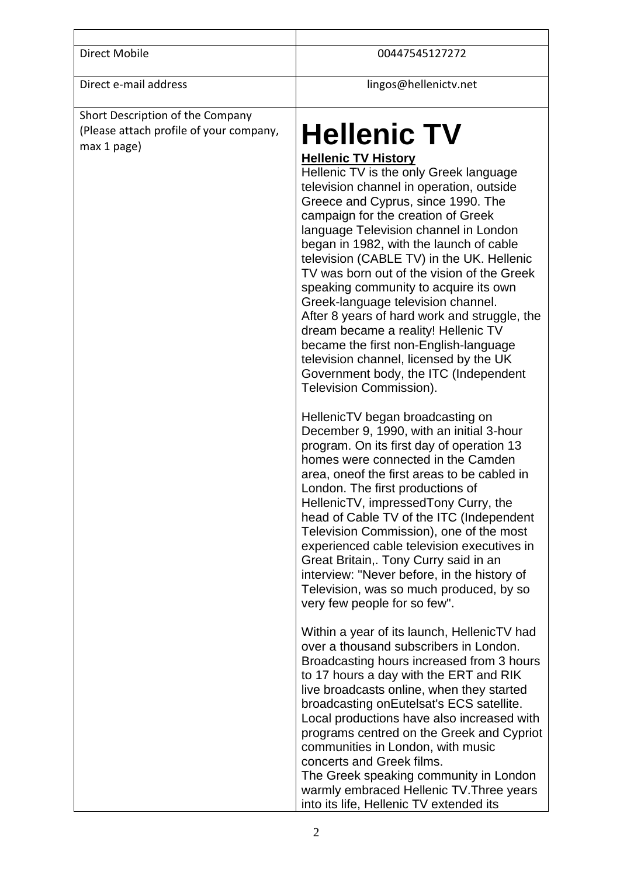Direct e-mail address lingos@hellenictv.net

## Short Description of the Company (Please attach profile of your company, (Please attach profile of your company,  $\left\| \mathbf{H} \mathbf{ell} \right\|$  **Hellenic** TV

## **Hellenic TV History**

Hellenic TV is the only Greek language television channel in operation, outside Greece and Cyprus, since 1990. The campaign for the creation of Greek language Television channel in London began in 1982, with the launch of cable television (CABLE TV) in the UK. Hellenic TV was born out of the vision of the Greek speaking community to acquire its own Greek-language television channel. After 8 years of hard work and struggle, the dream became a reality! Hellenic TV became the first non-English-language television channel, licensed by the UK Government body, the ITC (Independent Television Commission).

HellenicTV began broadcasting on December 9, 1990, with an initial 3-hour program. On its first day of operation 13 homes were connected in the Camden area, oneof the first areas to be cabled in London. The first productions of HellenicTV, impressedTony Curry, the head of Cable TV of the ITC (Independent Television Commission), one of the most experienced cable television executives in Great Britain,. Tony Curry said in an interview: "Never before, in the history of Television, was so much produced, by so very few people for so few".

Within a year of its launch, HellenicTV had over a thousand subscribers in London. Broadcasting hours increased from 3 hours to 17 hours a day with the ERT and RIK live broadcasts online, when they started broadcasting onEutelsat's ECS satellite. Local productions have also increased with programs centred on the Greek and Cypriot communities in London, with music concerts and Greek films. The Greek speaking community in London warmly embraced Hellenic TV.Three years

into its life, Hellenic TV extended its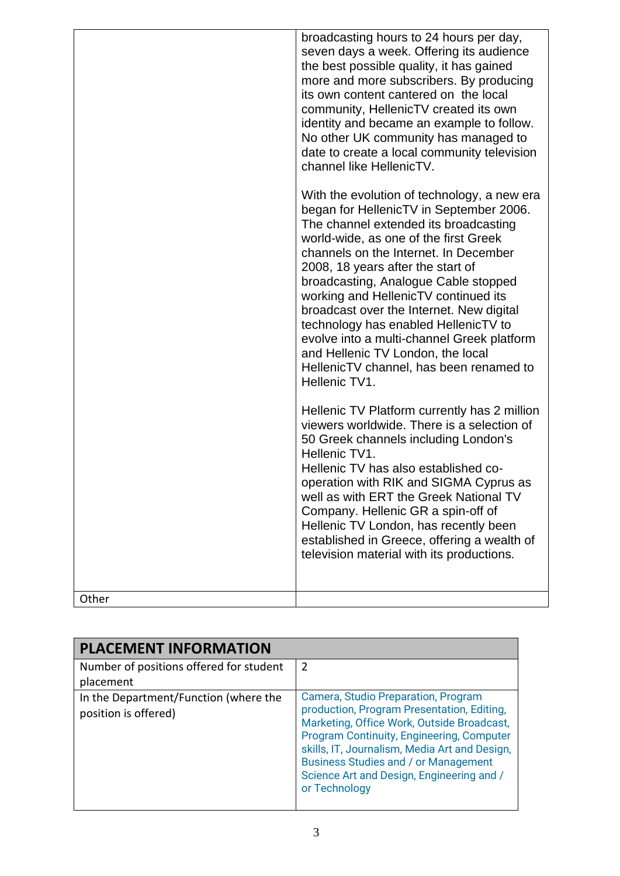|       | broadcasting hours to 24 hours per day,<br>seven days a week. Offering its audience<br>the best possible quality, it has gained<br>more and more subscribers. By producing<br>its own content cantered on the local<br>community, HellenicTV created its own<br>identity and became an example to follow.<br>No other UK community has managed to<br>date to create a local community television<br>channel like HellenicTV.                                                                                                                                              |
|-------|---------------------------------------------------------------------------------------------------------------------------------------------------------------------------------------------------------------------------------------------------------------------------------------------------------------------------------------------------------------------------------------------------------------------------------------------------------------------------------------------------------------------------------------------------------------------------|
|       | With the evolution of technology, a new era<br>began for HellenicTV in September 2006.<br>The channel extended its broadcasting<br>world-wide, as one of the first Greek<br>channels on the Internet. In December<br>2008, 18 years after the start of<br>broadcasting, Analogue Cable stopped<br>working and HellenicTV continued its<br>broadcast over the Internet. New digital<br>technology has enabled HellenicTV to<br>evolve into a multi-channel Greek platform<br>and Hellenic TV London, the local<br>HellenicTV channel, has been renamed to<br>Hellenic TV1. |
|       | Hellenic TV Platform currently has 2 million<br>viewers worldwide. There is a selection of<br>50 Greek channels including London's<br>Hellenic TV1.<br>Hellenic TV has also established co-<br>operation with RIK and SIGMA Cyprus as<br>well as with ERT the Greek National TV<br>Company. Hellenic GR a spin-off of<br>Hellenic TV London, has recently been<br>established in Greece, offering a wealth of<br>television material with its productions.                                                                                                                |
| Other |                                                                                                                                                                                                                                                                                                                                                                                                                                                                                                                                                                           |

| <b>PLACEMENT INFORMATION</b>                                  |                                                                                                                                                                                                                                                                                                                                            |  |
|---------------------------------------------------------------|--------------------------------------------------------------------------------------------------------------------------------------------------------------------------------------------------------------------------------------------------------------------------------------------------------------------------------------------|--|
| Number of positions offered for student                       | 2                                                                                                                                                                                                                                                                                                                                          |  |
| placement                                                     |                                                                                                                                                                                                                                                                                                                                            |  |
| In the Department/Function (where the<br>position is offered) | Camera, Studio Preparation, Program<br>production, Program Presentation, Editing,<br>Marketing, Office Work, Outside Broadcast,<br>Program Continuity, Engineering, Computer<br>skills, IT, Journalism, Media Art and Design,<br><b>Business Studies and / or Management</b><br>Science Art and Design, Engineering and /<br>or Technology |  |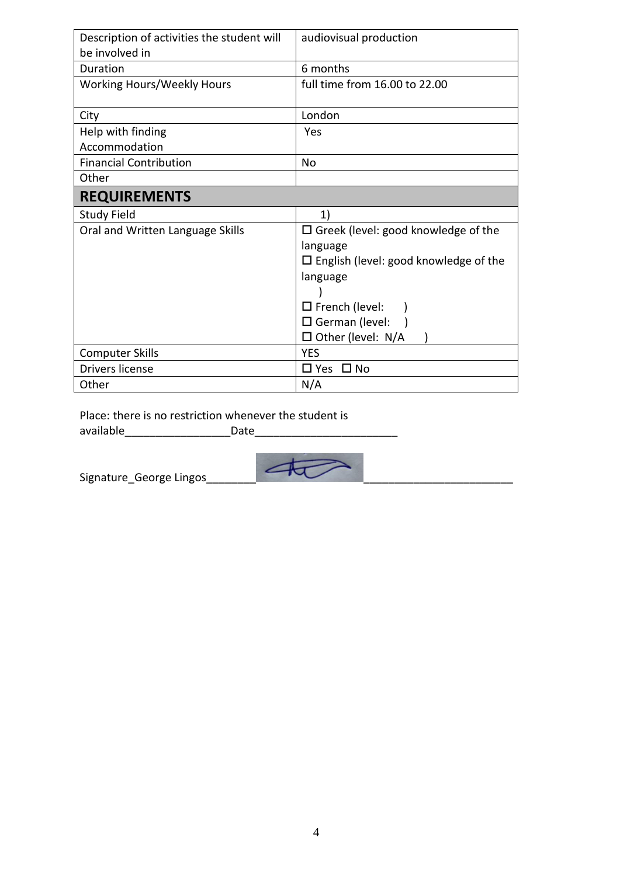| Description of activities the student will | audiovisual production                       |
|--------------------------------------------|----------------------------------------------|
| be involved in                             |                                              |
| Duration                                   | 6 months                                     |
| <b>Working Hours/Weekly Hours</b>          | full time from 16.00 to 22.00                |
| City                                       | London                                       |
| Help with finding                          | Yes                                          |
| Accommodation                              |                                              |
| <b>Financial Contribution</b>              | No                                           |
| Other                                      |                                              |
| <b>REQUIREMENTS</b>                        |                                              |
| <b>Study Field</b>                         | 1)                                           |
| Oral and Written Language Skills           | $\Box$ Greek (level: good knowledge of the   |
|                                            | language                                     |
|                                            | $\Box$ English (level: good knowledge of the |
|                                            | language                                     |
|                                            |                                              |
|                                            | $\Box$ French (level:                        |
|                                            | $\Box$ German (level:                        |
|                                            | $\Box$ Other (level: N/A                     |
| <b>Computer Skills</b>                     | <b>YES</b>                                   |
| Drivers license                            | $\square$ Yes<br>⊟ No                        |
| Other                                      | N/A                                          |

Place: there is no restriction whenever the student is available **and a** Date



Signature\_George Lingos\_\_\_\_\_\_\_\_\_\_\_\_\_<del>\_\_\_\_\_\_\_\_\_</del>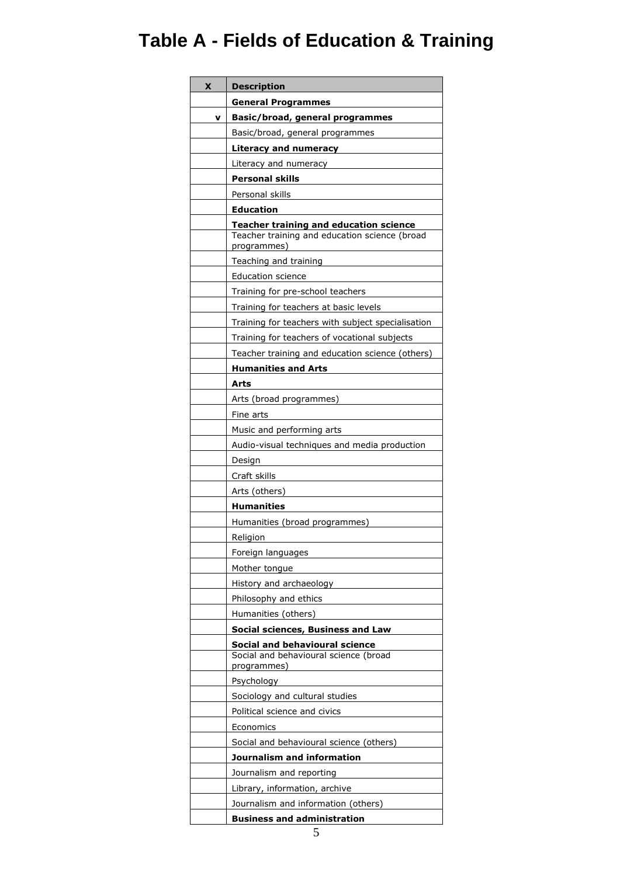## **Table A - Fields of Education & Training**

| x | <b>Description</b>                                                                                            |
|---|---------------------------------------------------------------------------------------------------------------|
|   | <b>General Programmes</b>                                                                                     |
| v | Basic/broad, general programmes                                                                               |
|   | Basic/broad, general programmes                                                                               |
|   | Literacy and numeracy                                                                                         |
|   | Literacy and numeracy                                                                                         |
|   | <b>Personal skills</b>                                                                                        |
|   | Personal skills                                                                                               |
|   | <b>Education</b>                                                                                              |
|   | <b>Teacher training and education science</b><br>Teacher training and education science (broad<br>programmes) |
|   | Teaching and training                                                                                         |
|   | <b>Education science</b>                                                                                      |
|   | Training for pre-school teachers                                                                              |
|   | Training for teachers at basic levels                                                                         |
|   | Training for teachers with subject specialisation                                                             |
|   | Training for teachers of vocational subjects                                                                  |
|   | Teacher training and education science (others)                                                               |
|   | <b>Humanities and Arts</b>                                                                                    |
|   | Arts                                                                                                          |
|   | Arts (broad programmes)                                                                                       |
|   | Fine arts                                                                                                     |
|   | Music and performing arts                                                                                     |
|   | Audio-visual techniques and media production                                                                  |
|   | Design                                                                                                        |
|   | Craft skills                                                                                                  |
|   | Arts (others)                                                                                                 |
|   | Humanities                                                                                                    |
|   | Humanities (broad programmes)                                                                                 |
|   | Religion                                                                                                      |
|   | Foreign languages                                                                                             |
|   | Mother tongue                                                                                                 |
|   | History and archaeology                                                                                       |
|   | Philosophy and ethics                                                                                         |
|   | Humanities (others)                                                                                           |
|   | Social sciences, Business and Law                                                                             |
|   | <b>Social and behavioural science</b><br>Social and behavioural science (broad                                |
|   | programmes)                                                                                                   |
|   | Psychology                                                                                                    |
|   | Sociology and cultural studies                                                                                |
|   | Political science and civics                                                                                  |
|   | Economics                                                                                                     |
|   | Social and behavioural science (others)                                                                       |
|   | Journalism and information                                                                                    |
|   | Journalism and reporting                                                                                      |
|   | Library, information, archive                                                                                 |
|   | Journalism and information (others)                                                                           |
|   | <b>Business and administration</b>                                                                            |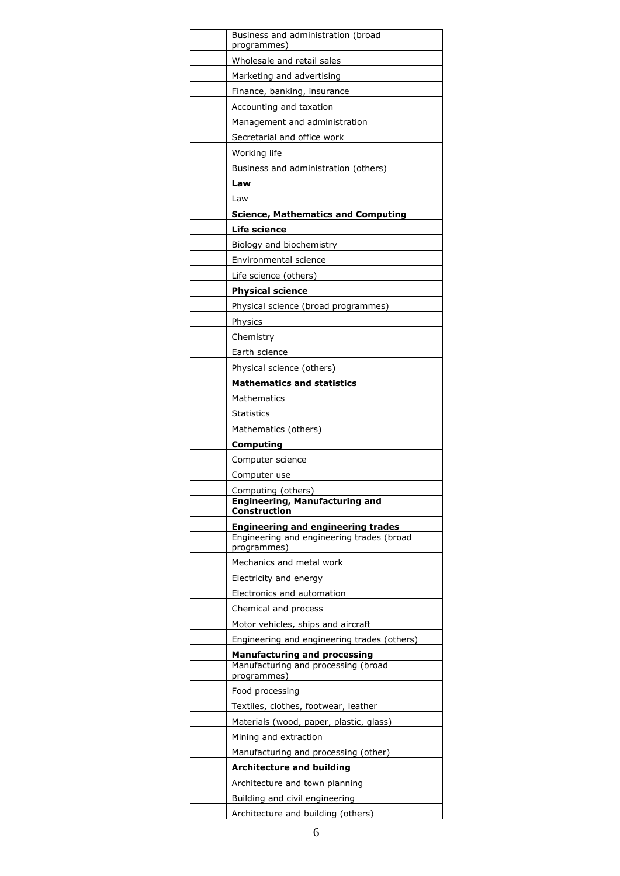| Business and administration (broad<br>programmes)           |
|-------------------------------------------------------------|
| Wholesale and retail sales                                  |
| Marketing and advertising                                   |
| Finance, banking, insurance                                 |
| Accounting and taxation                                     |
| Management and administration                               |
| Secretarial and office work                                 |
| Working life                                                |
| Business and administration (others)                        |
| Law                                                         |
| Law                                                         |
| <b>Science, Mathematics and Computing</b>                   |
| <b>Life science</b>                                         |
| Biology and biochemistry                                    |
| Environmental science                                       |
| Life science (others)                                       |
| <b>Physical science</b>                                     |
| Physical science (broad programmes)                         |
| Physics                                                     |
| Chemistry                                                   |
| Earth science                                               |
| Physical science (others)                                   |
| <b>Mathematics and statistics</b>                           |
| Mathematics                                                 |
| <b>Statistics</b>                                           |
| Mathematics (others)                                        |
| Computing                                                   |
| Computer science                                            |
| Computer use                                                |
| Computing (others)<br><b>Engineering, Manufacturing and</b> |
| Construction                                                |
| <b>Engineering and engineering trades</b>                   |
| Engineering and engineering trades (broad<br>programmes)    |
| Mechanics and metal work                                    |
| Electricity and energy                                      |
| Electronics and automation                                  |
| Chemical and process                                        |
| Motor vehicles, ships and aircraft                          |
| Engineering and engineering trades (others)                 |
| <b>Manufacturing and processing</b>                         |
| Manufacturing and processing (broad<br>programmes)          |
| Food processing                                             |
| Textiles, clothes, footwear, leather                        |
| Materials (wood, paper, plastic, glass)                     |
| Mining and extraction                                       |
| Manufacturing and processing (other)                        |
| <b>Architecture and building</b>                            |
| Architecture and town planning                              |
| Building and civil engineering                              |
| Architecture and building (others)                          |